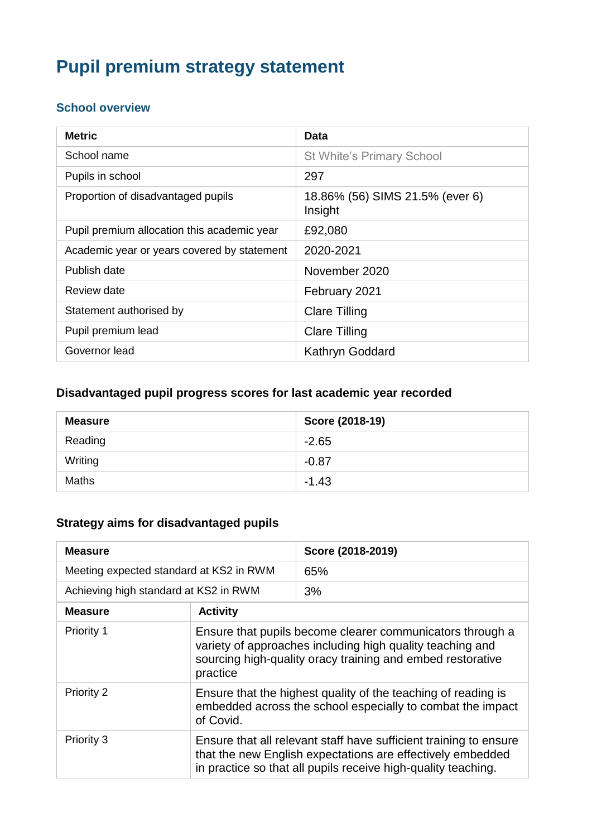# **Pupil premium strategy statement**

### **School overview**

| <b>Metric</b>                               | Data                                       |
|---------------------------------------------|--------------------------------------------|
| School name                                 | <b>St White's Primary School</b>           |
| Pupils in school                            | 297                                        |
| Proportion of disadvantaged pupils          | 18.86% (56) SIMS 21.5% (ever 6)<br>Insight |
| Pupil premium allocation this academic year | £92,080                                    |
| Academic year or years covered by statement | 2020-2021                                  |
| Publish date                                | November 2020                              |
| Review date                                 | February 2021                              |
| Statement authorised by                     | <b>Clare Tilling</b>                       |
| Pupil premium lead                          | <b>Clare Tilling</b>                       |
| Governor lead                               | Kathryn Goddard                            |

### **Disadvantaged pupil progress scores for last academic year recorded**

| <b>Measure</b> | Score (2018-19) |
|----------------|-----------------|
| Reading        | $-2.65$         |
| Writing        | $-0.87$         |
| <b>Maths</b>   | $-1.43$         |

### **Strategy aims for disadvantaged pupils**

| <b>Measure</b>                          |                                                                                                                                                                                                  | Score (2018-2019) |
|-----------------------------------------|--------------------------------------------------------------------------------------------------------------------------------------------------------------------------------------------------|-------------------|
| Meeting expected standard at KS2 in RWM |                                                                                                                                                                                                  | 65%               |
| Achieving high standard at KS2 in RWM   |                                                                                                                                                                                                  | 3%                |
| <b>Measure</b>                          | <b>Activity</b>                                                                                                                                                                                  |                   |
| Priority 1                              | Ensure that pupils become clearer communicators through a<br>variety of approaches including high quality teaching and<br>sourcing high-quality oracy training and embed restorative<br>practice |                   |
| Priority 2                              | Ensure that the highest quality of the teaching of reading is<br>embedded across the school especially to combat the impact<br>of Covid.                                                         |                   |
| Priority 3                              | Ensure that all relevant staff have sufficient training to ensure<br>that the new English expectations are effectively embedded<br>in practice so that all pupils receive high-quality teaching. |                   |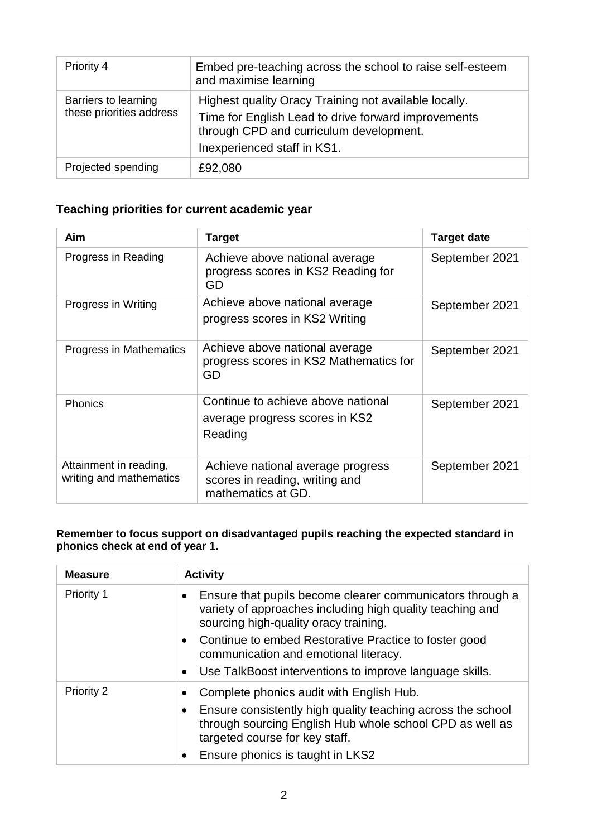| Priority 4                                       | Embed pre-teaching across the school to raise self-esteem<br>and maximise learning                                                                                                     |
|--------------------------------------------------|----------------------------------------------------------------------------------------------------------------------------------------------------------------------------------------|
| Barriers to learning<br>these priorities address | Highest quality Oracy Training not available locally.<br>Time for English Lead to drive forward improvements<br>through CPD and curriculum development.<br>Inexperienced staff in KS1. |
| Projected spending                               | £92,080                                                                                                                                                                                |

### **Teaching priorities for current academic year**

| Aim                                               | <b>Target</b>                                                                             | Target date    |
|---------------------------------------------------|-------------------------------------------------------------------------------------------|----------------|
| Progress in Reading                               | Achieve above national average<br>progress scores in KS2 Reading for<br>GD                | September 2021 |
| Progress in Writing                               | Achieve above national average<br>progress scores in KS2 Writing                          | September 2021 |
| Progress in Mathematics                           | Achieve above national average<br>progress scores in KS2 Mathematics for<br>GD            | September 2021 |
| <b>Phonics</b>                                    | Continue to achieve above national<br>average progress scores in KS2<br>Reading           | September 2021 |
| Attainment in reading,<br>writing and mathematics | Achieve national average progress<br>scores in reading, writing and<br>mathematics at GD. | September 2021 |

#### **Remember to focus support on disadvantaged pupils reaching the expected standard in phonics check at end of year 1.**

| <b>Measure</b> | <b>Activity</b>                                                                                                                                                              |
|----------------|------------------------------------------------------------------------------------------------------------------------------------------------------------------------------|
| Priority 1     | Ensure that pupils become clearer communicators through a<br>$\bullet$<br>variety of approaches including high quality teaching and<br>sourcing high-quality oracy training. |
|                | Continue to embed Restorative Practice to foster good<br>$\bullet$<br>communication and emotional literacy.                                                                  |
|                | Use TalkBoost interventions to improve language skills.<br>$\bullet$                                                                                                         |
| Priority 2     | Complete phonics audit with English Hub.<br>$\bullet$                                                                                                                        |
|                | Ensure consistently high quality teaching across the school<br>$\bullet$<br>through sourcing English Hub whole school CPD as well as<br>targeted course for key staff.       |
|                | Ensure phonics is taught in LKS2                                                                                                                                             |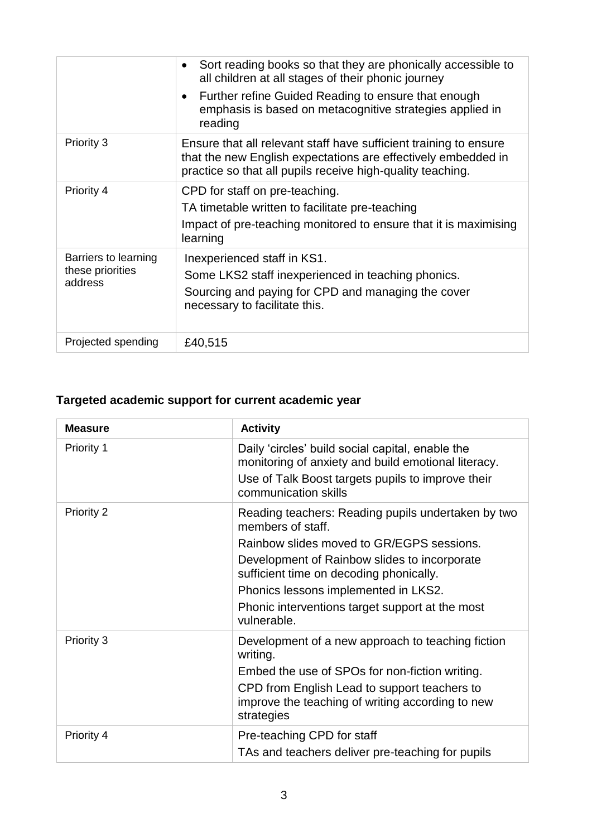|                                                     | Sort reading books so that they are phonically accessible to<br>$\bullet$<br>all children at all stages of their phonic journey<br>Further refine Guided Reading to ensure that enough<br>$\bullet$<br>emphasis is based on metacognitive strategies applied in<br>reading |
|-----------------------------------------------------|----------------------------------------------------------------------------------------------------------------------------------------------------------------------------------------------------------------------------------------------------------------------------|
| Priority 3                                          | Ensure that all relevant staff have sufficient training to ensure<br>that the new English expectations are effectively embedded in<br>practice so that all pupils receive high-quality teaching.                                                                           |
| Priority 4                                          | CPD for staff on pre-teaching.<br>TA timetable written to facilitate pre-teaching<br>Impact of pre-teaching monitored to ensure that it is maximising<br>learning                                                                                                          |
| Barriers to learning<br>these priorities<br>address | Inexperienced staff in KS1.<br>Some LKS2 staff inexperienced in teaching phonics.<br>Sourcing and paying for CPD and managing the cover<br>necessary to facilitate this.                                                                                                   |
| Projected spending                                  | £40,515                                                                                                                                                                                                                                                                    |

## **Targeted academic support for current academic year**

| <b>Measure</b>    | <b>Activity</b>                                                                                                                                                                                                                                                                                                           |
|-------------------|---------------------------------------------------------------------------------------------------------------------------------------------------------------------------------------------------------------------------------------------------------------------------------------------------------------------------|
| Priority 1        | Daily 'circles' build social capital, enable the<br>monitoring of anxiety and build emotional literacy.<br>Use of Talk Boost targets pupils to improve their<br>communication skills                                                                                                                                      |
| <b>Priority 2</b> | Reading teachers: Reading pupils undertaken by two<br>members of staff.<br>Rainbow slides moved to GR/EGPS sessions.<br>Development of Rainbow slides to incorporate<br>sufficient time on decoding phonically.<br>Phonics lessons implemented in LKS2.<br>Phonic interventions target support at the most<br>vulnerable. |
| Priority 3        | Development of a new approach to teaching fiction<br>writing.<br>Embed the use of SPOs for non-fiction writing.<br>CPD from English Lead to support teachers to<br>improve the teaching of writing according to new<br>strategies                                                                                         |
| Priority 4        | Pre-teaching CPD for staff<br>TAs and teachers deliver pre-teaching for pupils                                                                                                                                                                                                                                            |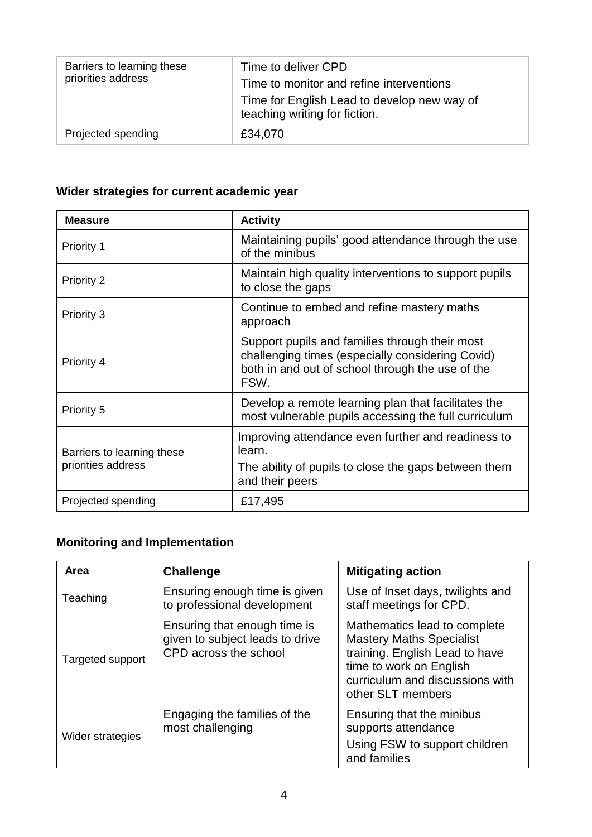| Barriers to learning these<br>priorities address | Time to deliver CPD<br>Time to monitor and refine interventions<br>Time for English Lead to develop new way of<br>teaching writing for fiction. |
|--------------------------------------------------|-------------------------------------------------------------------------------------------------------------------------------------------------|
| Projected spending                               | £34,070                                                                                                                                         |

### **Wider strategies for current academic year**

| <b>Measure</b>                                   | <b>Activity</b>                                                                                                                                                |  |
|--------------------------------------------------|----------------------------------------------------------------------------------------------------------------------------------------------------------------|--|
| Priority 1                                       | Maintaining pupils' good attendance through the use<br>of the minibus                                                                                          |  |
| Priority 2                                       | Maintain high quality interventions to support pupils<br>to close the gaps                                                                                     |  |
| Priority 3                                       | Continue to embed and refine mastery maths<br>approach                                                                                                         |  |
| Priority 4                                       | Support pupils and families through their most<br>challenging times (especially considering Covid)<br>both in and out of school through the use of the<br>FSW. |  |
| Priority 5                                       | Develop a remote learning plan that facilitates the<br>most vulnerable pupils accessing the full curriculum                                                    |  |
| Barriers to learning these<br>priorities address | Improving attendance even further and readiness to<br>learn.<br>The ability of pupils to close the gaps between them<br>and their peers                        |  |
| Projected spending                               | £17,495                                                                                                                                                        |  |

## **Monitoring and Implementation**

| Area             | <b>Challenge</b>                                                                         | <b>Mitigating action</b>                                                                                                                                                             |
|------------------|------------------------------------------------------------------------------------------|--------------------------------------------------------------------------------------------------------------------------------------------------------------------------------------|
| Teaching         | Ensuring enough time is given<br>to professional development                             | Use of Inset days, twilights and<br>staff meetings for CPD.                                                                                                                          |
| Targeted support | Ensuring that enough time is<br>given to subject leads to drive<br>CPD across the school | Mathematics lead to complete<br><b>Mastery Maths Specialist</b><br>training. English Lead to have<br>time to work on English<br>curriculum and discussions with<br>other SLT members |
| Wider strategies | Engaging the families of the<br>most challenging                                         | Ensuring that the minibus<br>supports attendance<br>Using FSW to support children<br>and families                                                                                    |